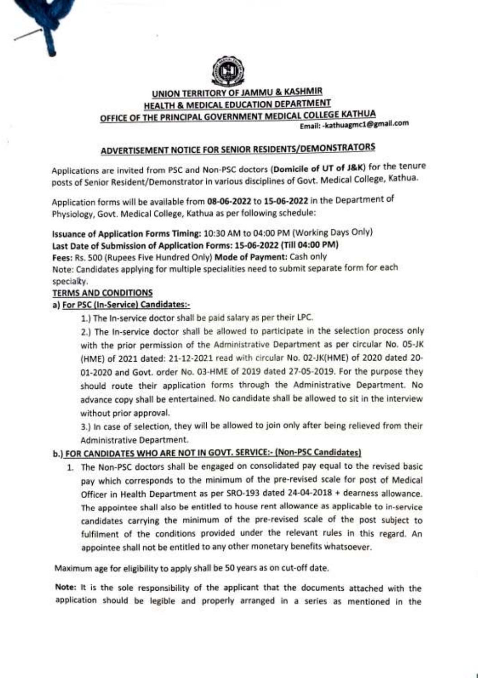

### UNION TERRITORY OF JAMMU & KASHMIR HEALTH & MEDICAL EDUCATION DEPARTMENT OFFICE OF THE PRINCIPAL GOVERNMENT MEDICAL COLLEGE KATHUA Email:-kathuagmc1@gmail.com

## ADVERTISEMENT NOTICE FOR SENIOR RESIDENTS/DEMONSTRATORS

Applications are invited from PSC and Non-PSC doctors (Domicile of UT of J&K) for the tenure posts of Senior Resident/Demonstrator in various disciplines of Govt. Medical College, Kathua.

Application forms will be available from 08-06-2022 to 15-06-2022 in the Department of Physiology, Govt. Medical College, Kathua as per following schedule:

Issuance of Application Forms Timing: 10:30 AM to 04:00 PM (Working Days Only) Last Date of Submission of Application Forms: 15-06-2022 (Till 04:00 PM) Fees: Rs. 500 (Rupees Five Hundred Only) Mode of Payment: Cash only Note: Candidates applying for multiple specialities need to submit separate form for each specialty.

### TERMS AND CONDITIONS

### a) For PSC (In-Service) Candidates

1.) The In-service doctor shall be paid salary as per their LPC.

2.) The In-service doctor shali be allowed to participate in the selection process only with the prior permission of the Administrative Department as per circular No. 05-JK (HME) of 2021 dated: 21-12-2021 read with circular No. 02-JK(HME) of 2020 dated 20 01-2020 and Govt. order No. 03-HME of 2019 dated 27-05-2019. For the purpose they should route their application forms through the Administrative Department. No advance copy shall be entertained. No candidate shall be allowed to sit in the interview without prior approval

3.) In case of selection, they will be allowed to join only after being relieved from their Administrative Department.

## b.) FOR CANDIDATES WHO ARE NOT IN GOVT. SERVICE:- (Non-PSC Candidates)

1. The Non-PSC doctors shall be engaged on consolidated pay equal to the revised basic pay which corresponds to the minimum of the pre-revised scale for post of Medical Officer in Health Department as per SRO-193 dated 24-04-2018 + dearness allowance. The appointee shall also be entitled to house rent allowance as applicable to in-service candidates carrying the minimum of the pre-revised scale of the post subject to fulfilment of the conditions provided under the relevant rules in this regard. An appointee shall not be entitled to any other monetary benefits whatsoever.

Maximum age for eligibility to apply shall be 50 years as on cut-off date.

Note: It is the sole responsibility of the applicant that the documents attached with the application should be legible and properly arranged in a series as mentioned in the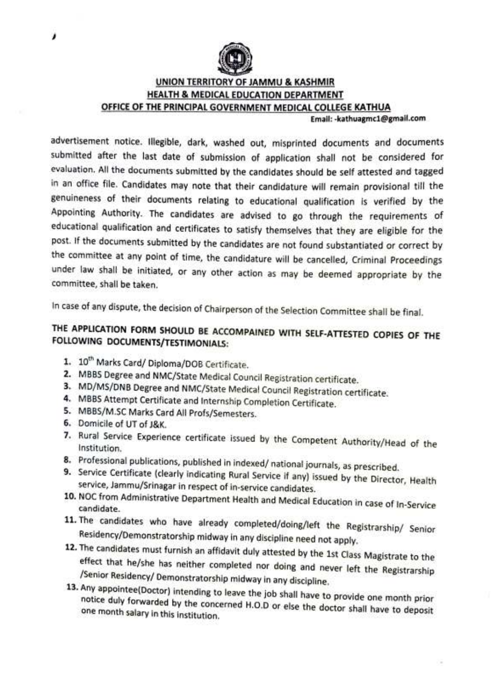

## UNION TERRITORY OF JAMMU & KASHMIR HEALTH & MEDICAL EDUCATION DEPARTMENT OFFICE OF THE PRINCIPAL GOVERNMENT MEDICAL COLLEGE KATHUA

Email:-kathuagmc1@gmail.com

advertisement notice. llegible, dark, washed out, misprinted documents and documents submitted after the last date of submission of application shall not be considered for evaluation. All the documents submitted by the candidates should be self attested and tagged in an office file. Candidates may note that their candidature will remain provisional till the genuineness of their documents relating to educational qualification is verified by the Appointing Authority. The candidates are advised to go through the requirements of educational qualification and certificates to satisfy themselves that they are eligible for the post. If the documents submitted by the candidates are not found substantiated or correct by the committee at any point of time, the candidature will be cancelled, Criminal Proceedings under law shall be initiated, or any other action as may be deemed appropriate by the committee, shall be taken.

In case of any dispute, the decision of Chairperson of the Selection Committee shall be final.

# THE APPLICATION FORM SHOULD BE ACCOMPAINED wITH SELF-ATTESTED cOPIES OF THE FOLLOWING DOCUMENTS/TESTIMONIALS:

- 1. 10<sup>th</sup> Marks Card/ Diploma/DOB Certificate.
- 2. MBBS Degree and NMC/State Medical Council Registration certificate.
- 3. MD/Ms/DNB Degree and NMc/State Medical Council Registration certificate. 4. MBBS Attempt Certificate and Internship Completion Certificate.
- 
- 5. MBBS/M.SC Marks Card All Profs/Semesters.
- 6. Domicile of UT of J&K.
- 7. Rural Service Experience certificate issued by the Competent Authority/Head of the Institution.<br>8. Professional publications, published in indexed/ national journals, as prescribed.
- 
- 9. Service Certificate (clearly indicating Rural Service if any) issued by the Director, Health service, Jammu/Srinagar in respect of in-service candidates.
- 10. NOC from Administrative Department Health and Medical Education in case of In-Service<br>candidate.<br>11. The candidates who have already completed/doing/left the Registrarship/ Senior
- 
- Residency/Demonstratorship midway in any discipline need not apply.<br>12. The candidates must furnish an affidavit duly attested by the 1st Class Magistrate to the<br>effect that he/she has neither completed nor doing and never
- one month salary in this institution. notice duly forwarded by the concerned H.O.D or else the doctor shall have to deposit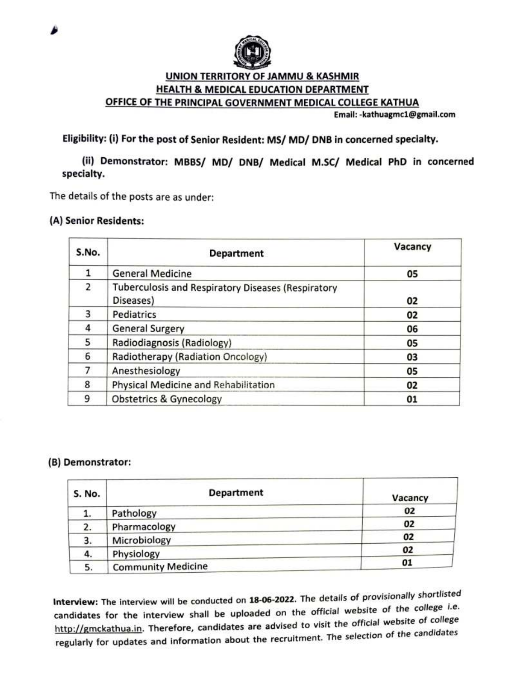

## UNION TERRITORY OF JAMMU & KASHMIR HEALTH & MEDICAL EDUCATION DEPARTMENT OFFICE OF THE PRINCIPAL GOVERNMENT MEDICAL COLLEGE KATHUA

Email:-kathuagmc1@gmail.com

## Eligibility: (i) For the post of Senior Resident: MS/ MD/ DNB in concerned specialty.

(ii) Demonstrator: MBBS/ MD/ DNB/ Medical M.Sc/ Medical PhD in concerned specialty.

The details of the posts are as under:

### (A) Senior Residents:

| S.No. | <b>Department</b>                                               | Vacancy |
|-------|-----------------------------------------------------------------|---------|
|       | <b>General Medicine</b>                                         | 05      |
| 2     | Tuberculosis and Respiratory Diseases (Respiratory<br>Diseases) | 02      |
| 3.    | Pediatrics                                                      | 02      |
| 4     | <b>General Surgery</b>                                          | 06      |
| 5     | Radiodiagnosis (Radiology)                                      | 05      |
| 6     | Radiotherapy (Radiation Oncology)                               | 03      |
|       | Anesthesiology                                                  | 05      |
| 8     | Physical Medicine and Rehabilitation                            | 02      |
| 9     | <b>Obstetrics &amp; Gynecology</b>                              | 01      |

### (B) Demonstrator:

| <b>S. No.</b> | <b>Department</b>         | Vacancy |
|---------------|---------------------------|---------|
| 1.            | Pathology                 | 02      |
| 2.            | Pharmacology              | 02      |
| 3.            | Microbiology              | 02      |
| 4.            | Physiology                | 02      |
| 5.            | <b>Community Medicine</b> | 01      |

Interview: The interview will be conducted on 18-06-2022. The details of provisionally shortlisted candidates for the interview shall be uploaded on the official website of the college i.e. http://gmckathua.in. Therefore, candidates are advised to visit the official website of college regularly for updates and information about the recruitment. The selection of the candidates